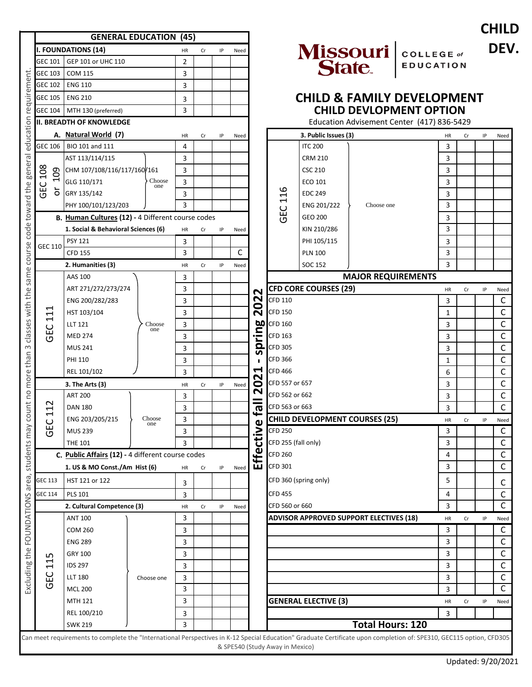|                    |                                                                                                                                                                                                                                                                                                                                                                                                                                                                        |                                                                                                                                                                                                                 |                                                                                                                                                                                                                     |                                                                                                                                         |                                                                                             |                                                           |                                                                                |                                                                              |                                                                                                                                                                                                                  |                                                                                     |                                                                                                                                                            |                                                                                                                                                                        |                                                                                                                                                     | <b>CHIL</b>                                                         |
|--------------------|------------------------------------------------------------------------------------------------------------------------------------------------------------------------------------------------------------------------------------------------------------------------------------------------------------------------------------------------------------------------------------------------------------------------------------------------------------------------|-----------------------------------------------------------------------------------------------------------------------------------------------------------------------------------------------------------------|---------------------------------------------------------------------------------------------------------------------------------------------------------------------------------------------------------------------|-----------------------------------------------------------------------------------------------------------------------------------------|---------------------------------------------------------------------------------------------|-----------------------------------------------------------|--------------------------------------------------------------------------------|------------------------------------------------------------------------------|------------------------------------------------------------------------------------------------------------------------------------------------------------------------------------------------------------------|-------------------------------------------------------------------------------------|------------------------------------------------------------------------------------------------------------------------------------------------------------|------------------------------------------------------------------------------------------------------------------------------------------------------------------------|-----------------------------------------------------------------------------------------------------------------------------------------------------|---------------------------------------------------------------------|
|                    |                                                                                                                                                                                                                                                                                                                                                                                                                                                                        |                                                                                                                                                                                                                 |                                                                                                                                                                                                                     |                                                                                                                                         |                                                                                             |                                                           |                                                                                |                                                                              |                                                                                                                                                                                                                  |                                                                                     |                                                                                                                                                            |                                                                                                                                                                        |                                                                                                                                                     | <b>DEN</b>                                                          |
| GEP 101 or UHC 110 |                                                                                                                                                                                                                                                                                                                                                                                                                                                                        |                                                                                                                                                                                                                 |                                                                                                                                                                                                                     |                                                                                                                                         |                                                                                             |                                                           |                                                                                |                                                                              |                                                                                                                                                                                                                  |                                                                                     |                                                                                                                                                            |                                                                                                                                                                        |                                                                                                                                                     |                                                                     |
| <b>COM 115</b>     |                                                                                                                                                                                                                                                                                                                                                                                                                                                                        | 3                                                                                                                                                                                                               |                                                                                                                                                                                                                     |                                                                                                                                         |                                                                                             |                                                           |                                                                                |                                                                              |                                                                                                                                                                                                                  |                                                                                     |                                                                                                                                                            |                                                                                                                                                                        |                                                                                                                                                     |                                                                     |
| <b>ENG 110</b>     |                                                                                                                                                                                                                                                                                                                                                                                                                                                                        | 3                                                                                                                                                                                                               |                                                                                                                                                                                                                     |                                                                                                                                         |                                                                                             |                                                           |                                                                                |                                                                              |                                                                                                                                                                                                                  |                                                                                     |                                                                                                                                                            |                                                                                                                                                                        |                                                                                                                                                     |                                                                     |
| <b>ENG 210</b>     |                                                                                                                                                                                                                                                                                                                                                                                                                                                                        |                                                                                                                                                                                                                 |                                                                                                                                                                                                                     |                                                                                                                                         |                                                                                             |                                                           |                                                                                |                                                                              |                                                                                                                                                                                                                  |                                                                                     |                                                                                                                                                            |                                                                                                                                                                        |                                                                                                                                                     |                                                                     |
|                    |                                                                                                                                                                                                                                                                                                                                                                                                                                                                        |                                                                                                                                                                                                                 |                                                                                                                                                                                                                     |                                                                                                                                         |                                                                                             |                                                           |                                                                                |                                                                              |                                                                                                                                                                                                                  |                                                                                     |                                                                                                                                                            |                                                                                                                                                                        |                                                                                                                                                     |                                                                     |
|                    |                                                                                                                                                                                                                                                                                                                                                                                                                                                                        |                                                                                                                                                                                                                 |                                                                                                                                                                                                                     |                                                                                                                                         |                                                                                             |                                                           |                                                                                |                                                                              |                                                                                                                                                                                                                  |                                                                                     |                                                                                                                                                            |                                                                                                                                                                        |                                                                                                                                                     |                                                                     |
|                    |                                                                                                                                                                                                                                                                                                                                                                                                                                                                        |                                                                                                                                                                                                                 |                                                                                                                                                                                                                     |                                                                                                                                         |                                                                                             |                                                           |                                                                                |                                                                              |                                                                                                                                                                                                                  |                                                                                     |                                                                                                                                                            |                                                                                                                                                                        |                                                                                                                                                     | Need                                                                |
| BIO 101 and 111    |                                                                                                                                                                                                                                                                                                                                                                                                                                                                        |                                                                                                                                                                                                                 |                                                                                                                                                                                                                     |                                                                                                                                         |                                                                                             |                                                           |                                                                                | <b>ITC 200</b>                                                               |                                                                                                                                                                                                                  |                                                                                     |                                                                                                                                                            |                                                                                                                                                                        |                                                                                                                                                     |                                                                     |
| AST 113/114/115    |                                                                                                                                                                                                                                                                                                                                                                                                                                                                        |                                                                                                                                                                                                                 |                                                                                                                                                                                                                     |                                                                                                                                         |                                                                                             |                                                           |                                                                                | <b>CRM 210</b>                                                               |                                                                                                                                                                                                                  |                                                                                     |                                                                                                                                                            |                                                                                                                                                                        |                                                                                                                                                     |                                                                     |
|                    |                                                                                                                                                                                                                                                                                                                                                                                                                                                                        |                                                                                                                                                                                                                 |                                                                                                                                                                                                                     |                                                                                                                                         |                                                                                             |                                                           |                                                                                | <b>CSC 210</b>                                                               |                                                                                                                                                                                                                  |                                                                                     |                                                                                                                                                            |                                                                                                                                                                        |                                                                                                                                                     |                                                                     |
| GLG 110/171        | Choose                                                                                                                                                                                                                                                                                                                                                                                                                                                                 | 3                                                                                                                                                                                                               |                                                                                                                                                                                                                     |                                                                                                                                         |                                                                                             |                                                           |                                                                                | ECO 101                                                                      |                                                                                                                                                                                                                  |                                                                                     | 3                                                                                                                                                          |                                                                                                                                                                        |                                                                                                                                                     |                                                                     |
| GRY 135/142        |                                                                                                                                                                                                                                                                                                                                                                                                                                                                        |                                                                                                                                                                                                                 |                                                                                                                                                                                                                     |                                                                                                                                         |                                                                                             |                                                           |                                                                                | <b>EDC 249</b>                                                               |                                                                                                                                                                                                                  |                                                                                     |                                                                                                                                                            |                                                                                                                                                                        |                                                                                                                                                     |                                                                     |
|                    |                                                                                                                                                                                                                                                                                                                                                                                                                                                                        | 3                                                                                                                                                                                                               |                                                                                                                                                                                                                     |                                                                                                                                         |                                                                                             |                                                           |                                                                                |                                                                              |                                                                                                                                                                                                                  |                                                                                     | 3                                                                                                                                                          |                                                                                                                                                                        |                                                                                                                                                     |                                                                     |
|                    |                                                                                                                                                                                                                                                                                                                                                                                                                                                                        |                                                                                                                                                                                                                 |                                                                                                                                                                                                                     |                                                                                                                                         |                                                                                             |                                                           |                                                                                |                                                                              |                                                                                                                                                                                                                  |                                                                                     |                                                                                                                                                            |                                                                                                                                                                        |                                                                                                                                                     |                                                                     |
|                    |                                                                                                                                                                                                                                                                                                                                                                                                                                                                        |                                                                                                                                                                                                                 |                                                                                                                                                                                                                     |                                                                                                                                         |                                                                                             |                                                           |                                                                                |                                                                              |                                                                                                                                                                                                                  |                                                                                     |                                                                                                                                                            |                                                                                                                                                                        |                                                                                                                                                     |                                                                     |
|                    |                                                                                                                                                                                                                                                                                                                                                                                                                                                                        |                                                                                                                                                                                                                 |                                                                                                                                                                                                                     |                                                                                                                                         |                                                                                             |                                                           |                                                                                |                                                                              |                                                                                                                                                                                                                  |                                                                                     |                                                                                                                                                            |                                                                                                                                                                        |                                                                                                                                                     |                                                                     |
|                    |                                                                                                                                                                                                                                                                                                                                                                                                                                                                        |                                                                                                                                                                                                                 |                                                                                                                                                                                                                     |                                                                                                                                         |                                                                                             |                                                           |                                                                                |                                                                              |                                                                                                                                                                                                                  |                                                                                     |                                                                                                                                                            |                                                                                                                                                                        |                                                                                                                                                     |                                                                     |
|                    |                                                                                                                                                                                                                                                                                                                                                                                                                                                                        |                                                                                                                                                                                                                 |                                                                                                                                                                                                                     |                                                                                                                                         |                                                                                             |                                                           |                                                                                |                                                                              |                                                                                                                                                                                                                  |                                                                                     |                                                                                                                                                            |                                                                                                                                                                        |                                                                                                                                                     |                                                                     |
|                    |                                                                                                                                                                                                                                                                                                                                                                                                                                                                        |                                                                                                                                                                                                                 |                                                                                                                                                                                                                     |                                                                                                                                         |                                                                                             |                                                           |                                                                                |                                                                              |                                                                                                                                                                                                                  |                                                                                     |                                                                                                                                                            |                                                                                                                                                                        |                                                                                                                                                     |                                                                     |
|                    |                                                                                                                                                                                                                                                                                                                                                                                                                                                                        |                                                                                                                                                                                                                 |                                                                                                                                                                                                                     |                                                                                                                                         |                                                                                             |                                                           |                                                                                |                                                                              |                                                                                                                                                                                                                  |                                                                                     |                                                                                                                                                            |                                                                                                                                                                        |                                                                                                                                                     | Need                                                                |
|                    | Choose<br>one                                                                                                                                                                                                                                                                                                                                                                                                                                                          |                                                                                                                                                                                                                 |                                                                                                                                                                                                                     |                                                                                                                                         |                                                                                             |                                                           |                                                                                |                                                                              |                                                                                                                                                                                                                  |                                                                                     |                                                                                                                                                            |                                                                                                                                                                        |                                                                                                                                                     | $\mathsf{C}$                                                        |
|                    |                                                                                                                                                                                                                                                                                                                                                                                                                                                                        |                                                                                                                                                                                                                 |                                                                                                                                                                                                                     |                                                                                                                                         |                                                                                             |                                                           |                                                                                |                                                                              |                                                                                                                                                                                                                  |                                                                                     |                                                                                                                                                            |                                                                                                                                                                        |                                                                                                                                                     | $\mathsf C$                                                         |
|                    |                                                                                                                                                                                                                                                                                                                                                                                                                                                                        |                                                                                                                                                                                                                 |                                                                                                                                                                                                                     |                                                                                                                                         |                                                                                             | <b>bo</b><br><b>CFD 160</b>                               |                                                                                |                                                                              |                                                                                                                                                                                                                  |                                                                                     |                                                                                                                                                            |                                                                                                                                                                        |                                                                                                                                                     | $\mathsf C$                                                         |
| <b>MED 274</b>     |                                                                                                                                                                                                                                                                                                                                                                                                                                                                        |                                                                                                                                                                                                                 |                                                                                                                                                                                                                     |                                                                                                                                         |                                                                                             | <b>CFD 163</b>                                            |                                                                                |                                                                              |                                                                                                                                                                                                                  |                                                                                     |                                                                                                                                                            |                                                                                                                                                                        |                                                                                                                                                     | $\mathsf{C}$                                                        |
|                    |                                                                                                                                                                                                                                                                                                                                                                                                                                                                        |                                                                                                                                                                                                                 |                                                                                                                                                                                                                     |                                                                                                                                         |                                                                                             |                                                           | <b>CFD 305</b>                                                                 |                                                                              |                                                                                                                                                                                                                  |                                                                                     |                                                                                                                                                            |                                                                                                                                                                        |                                                                                                                                                     | $\mathsf C$                                                         |
| <b>PHI 110</b>     |                                                                                                                                                                                                                                                                                                                                                                                                                                                                        |                                                                                                                                                                                                                 |                                                                                                                                                                                                                     |                                                                                                                                         |                                                                                             | n                                                         | <b>CFD 366</b>                                                                 |                                                                              |                                                                                                                                                                                                                  |                                                                                     |                                                                                                                                                            |                                                                                                                                                                        |                                                                                                                                                     | $\mathsf C$                                                         |
|                    |                                                                                                                                                                                                                                                                                                                                                                                                                                                                        |                                                                                                                                                                                                                 |                                                                                                                                                                                                                     |                                                                                                                                         |                                                                                             | ↽                                                         | <b>CFD 466</b>                                                                 |                                                                              |                                                                                                                                                                                                                  |                                                                                     |                                                                                                                                                            |                                                                                                                                                                        |                                                                                                                                                     | $\mathsf{C}$                                                        |
|                    |                                                                                                                                                                                                                                                                                                                                                                                                                                                                        |                                                                                                                                                                                                                 |                                                                                                                                                                                                                     |                                                                                                                                         |                                                                                             | N                                                         |                                                                                |                                                                              |                                                                                                                                                                                                                  |                                                                                     |                                                                                                                                                            |                                                                                                                                                                        |                                                                                                                                                     | $\mathsf C$                                                         |
| <b>ART 200</b>     |                                                                                                                                                                                                                                                                                                                                                                                                                                                                        |                                                                                                                                                                                                                 |                                                                                                                                                                                                                     |                                                                                                                                         |                                                                                             | N                                                         |                                                                                |                                                                              |                                                                                                                                                                                                                  |                                                                                     |                                                                                                                                                            |                                                                                                                                                                        |                                                                                                                                                     | $\mathsf C$                                                         |
| <b>DAN 180</b>     |                                                                                                                                                                                                                                                                                                                                                                                                                                                                        |                                                                                                                                                                                                                 |                                                                                                                                                                                                                     |                                                                                                                                         |                                                                                             |                                                           |                                                                                |                                                                              |                                                                                                                                                                                                                  |                                                                                     |                                                                                                                                                            |                                                                                                                                                                        |                                                                                                                                                     | $\mathsf{C}$                                                        |
|                    |                                                                                                                                                                                                                                                                                                                                                                                                                                                                        |                                                                                                                                                                                                                 |                                                                                                                                                                                                                     |                                                                                                                                         |                                                                                             |                                                           |                                                                                |                                                                              |                                                                                                                                                                                                                  |                                                                                     |                                                                                                                                                            |                                                                                                                                                                        |                                                                                                                                                     | Need                                                                |
| <b>MUS 239</b>     |                                                                                                                                                                                                                                                                                                                                                                                                                                                                        |                                                                                                                                                                                                                 |                                                                                                                                                                                                                     |                                                                                                                                         |                                                                                             |                                                           | <b>CFD 250</b>                                                                 |                                                                              |                                                                                                                                                                                                                  |                                                                                     | 3                                                                                                                                                          |                                                                                                                                                                        |                                                                                                                                                     | $\mathsf{C}$                                                        |
| <b>THE 101</b>     |                                                                                                                                                                                                                                                                                                                                                                                                                                                                        | 3                                                                                                                                                                                                               |                                                                                                                                                                                                                     |                                                                                                                                         |                                                                                             |                                                           |                                                                                |                                                                              |                                                                                                                                                                                                                  |                                                                                     | 3                                                                                                                                                          |                                                                                                                                                                        |                                                                                                                                                     | $\mathsf{C}$                                                        |
|                    |                                                                                                                                                                                                                                                                                                                                                                                                                                                                        |                                                                                                                                                                                                                 |                                                                                                                                                                                                                     |                                                                                                                                         |                                                                                             |                                                           | <b>CFD 260</b>                                                                 |                                                                              |                                                                                                                                                                                                                  |                                                                                     | 4                                                                                                                                                          |                                                                                                                                                                        |                                                                                                                                                     | $\mathsf{C}$                                                        |
|                    |                                                                                                                                                                                                                                                                                                                                                                                                                                                                        |                                                                                                                                                                                                                 |                                                                                                                                                                                                                     |                                                                                                                                         |                                                                                             |                                                           | <b>CFD 301</b>                                                                 |                                                                              |                                                                                                                                                                                                                  |                                                                                     | 3                                                                                                                                                          |                                                                                                                                                                        |                                                                                                                                                     | $\mathsf{C}$                                                        |
|                    |                                                                                                                                                                                                                                                                                                                                                                                                                                                                        |                                                                                                                                                                                                                 |                                                                                                                                                                                                                     |                                                                                                                                         |                                                                                             |                                                           |                                                                                |                                                                              |                                                                                                                                                                                                                  |                                                                                     |                                                                                                                                                            |                                                                                                                                                                        |                                                                                                                                                     |                                                                     |
|                    |                                                                                                                                                                                                                                                                                                                                                                                                                                                                        |                                                                                                                                                                                                                 |                                                                                                                                                                                                                     |                                                                                                                                         |                                                                                             |                                                           |                                                                                |                                                                              |                                                                                                                                                                                                                  |                                                                                     |                                                                                                                                                            |                                                                                                                                                                        |                                                                                                                                                     | C<br>$\mathsf C$                                                    |
|                    |                                                                                                                                                                                                                                                                                                                                                                                                                                                                        |                                                                                                                                                                                                                 |                                                                                                                                                                                                                     |                                                                                                                                         |                                                                                             |                                                           |                                                                                |                                                                              |                                                                                                                                                                                                                  |                                                                                     |                                                                                                                                                            |                                                                                                                                                                        |                                                                                                                                                     | C                                                                   |
|                    |                                                                                                                                                                                                                                                                                                                                                                                                                                                                        |                                                                                                                                                                                                                 |                                                                                                                                                                                                                     |                                                                                                                                         |                                                                                             |                                                           |                                                                                |                                                                              |                                                                                                                                                                                                                  |                                                                                     |                                                                                                                                                            |                                                                                                                                                                        |                                                                                                                                                     |                                                                     |
|                    | Choose one                                                                                                                                                                                                                                                                                                                                                                                                                                                             |                                                                                                                                                                                                                 |                                                                                                                                                                                                                     |                                                                                                                                         |                                                                                             |                                                           |                                                                                |                                                                              |                                                                                                                                                                                                                  |                                                                                     |                                                                                                                                                            |                                                                                                                                                                        |                                                                                                                                                     | Need<br>$\mathsf{C}$                                                |
|                    |                                                                                                                                                                                                                                                                                                                                                                                                                                                                        |                                                                                                                                                                                                                 |                                                                                                                                                                                                                     |                                                                                                                                         |                                                                                             |                                                           |                                                                                |                                                                              |                                                                                                                                                                                                                  |                                                                                     |                                                                                                                                                            |                                                                                                                                                                        |                                                                                                                                                     | $\mathsf{C}$                                                        |
|                    |                                                                                                                                                                                                                                                                                                                                                                                                                                                                        |                                                                                                                                                                                                                 |                                                                                                                                                                                                                     |                                                                                                                                         |                                                                                             |                                                           |                                                                                |                                                                              |                                                                                                                                                                                                                  |                                                                                     |                                                                                                                                                            |                                                                                                                                                                        |                                                                                                                                                     |                                                                     |
|                    |                                                                                                                                                                                                                                                                                                                                                                                                                                                                        |                                                                                                                                                                                                                 |                                                                                                                                                                                                                     |                                                                                                                                         |                                                                                             |                                                           |                                                                                |                                                                              |                                                                                                                                                                                                                  |                                                                                     |                                                                                                                                                            |                                                                                                                                                                        |                                                                                                                                                     | $\mathsf C$<br>$\mathsf{C}$                                         |
|                    |                                                                                                                                                                                                                                                                                                                                                                                                                                                                        |                                                                                                                                                                                                                 |                                                                                                                                                                                                                     |                                                                                                                                         |                                                                                             |                                                           |                                                                                |                                                                              |                                                                                                                                                                                                                  |                                                                                     |                                                                                                                                                            |                                                                                                                                                                        |                                                                                                                                                     | $\mathsf{C}$                                                        |
|                    |                                                                                                                                                                                                                                                                                                                                                                                                                                                                        |                                                                                                                                                                                                                 |                                                                                                                                                                                                                     |                                                                                                                                         |                                                                                             |                                                           |                                                                                |                                                                              |                                                                                                                                                                                                                  |                                                                                     |                                                                                                                                                            |                                                                                                                                                                        |                                                                                                                                                     | C                                                                   |
|                    |                                                                                                                                                                                                                                                                                                                                                                                                                                                                        |                                                                                                                                                                                                                 |                                                                                                                                                                                                                     |                                                                                                                                         |                                                                                             |                                                           |                                                                                |                                                                              |                                                                                                                                                                                                                  |                                                                                     |                                                                                                                                                            |                                                                                                                                                                        |                                                                                                                                                     |                                                                     |
| REL 100/210        |                                                                                                                                                                                                                                                                                                                                                                                                                                                                        | 3                                                                                                                                                                                                               |                                                                                                                                                                                                                     |                                                                                                                                         |                                                                                             |                                                           |                                                                                |                                                                              |                                                                                                                                                                                                                  |                                                                                     | 3                                                                                                                                                          |                                                                                                                                                                        |                                                                                                                                                     | Need                                                                |
|                    |                                                                                                                                                                                                                                                                                                                                                                                                                                                                        |                                                                                                                                                                                                                 |                                                                                                                                                                                                                     |                                                                                                                                         |                                                                                             |                                                           |                                                                                |                                                                              |                                                                                                                                                                                                                  | <b>Total Hours: 120</b>                                                             |                                                                                                                                                            |                                                                                                                                                                        |                                                                                                                                                     |                                                                     |
|                    | <b>I. FOUNDATIONS (14)</b><br>GEC 104 MTH 130 (preferred)<br>A. Natural World (7)<br>PHY 100/101/123/203<br><b>PSY 121</b><br><b>CFD 155</b><br>2. Humanities (3)<br>AAS 100<br>ENG 200/282/283<br>HST 103/104<br><b>LLT 121</b><br><b>MUS 241</b><br>REL 101/102<br>3. The Arts (3)<br>ENG 203/205/215<br>HST 121 or 122<br>PLS 101<br><b>ANT 100</b><br><b>COM 260</b><br><b>ENG 289</b><br>GRY 100<br><b>IDS 297</b><br><b>LLT 180</b><br><b>MCL 200</b><br>MTH 121 | <b>II. BREADTH OF KNOWLEDGE</b><br>CHM 107/108/116/117/160/161<br>one<br>1. Social & Behavioral Sciences (6)<br>ART 271/272/273/274<br>$C$ hoose<br>1. US & MO Const./Am Hist (6)<br>2. Cultural Competence (3) | HR<br>$\overline{2}$<br>3<br>3<br>HR<br>4<br>3<br>3<br>3<br>HR<br>3<br>3<br>HR<br>3<br>3<br>3<br>3<br>3<br>3<br>3<br>3<br>3<br>HR<br>3<br>3<br>3<br>3<br>HR<br>3<br>3<br>HR<br>3<br>3<br>3<br>3<br>3<br>3<br>3<br>3 | <b>GENERAL EDUCATION (45)</b><br>Cr<br>Cr<br>Cr<br>Cr<br>Cr<br>C. Public Affairs (12) - 4 different course codes<br>Cr<br>$\mathsf{Cr}$ | IP<br>IP<br>B. Human Cultures (12) - 4 Different course codes<br>IP<br>IP<br>IP<br>IP<br>IP | Need<br>Need<br>Need<br>С<br>Need<br>Need<br>Need<br>Need | N<br>$\mathbf{\Omega}$<br><b>20</b><br><u>음</u> .<br>п.<br>0<br>등<br>Effective | 116<br><b>GEC</b><br><b>CFD 110</b><br><b>CFD 150</b><br>௨<br><b>CFD 455</b> | ENG 201/222<br><b>GEO 200</b><br>KIN 210/286<br>PHI 105/115<br><b>PLN 100</b><br>SOC 152<br>CFD 557 or 657<br>CFD 562 or 662<br>CFD 563 or 663<br>CFD 255 (fall only)<br>CFD 360 (spring only)<br>CFD 560 or 660 | 3. Public Issues (3)<br><b>CFD CORE COURSES (29)</b><br><b>GENERAL ELECTIVE (3)</b> | Missouri  <br>State.<br>Choose one<br><b>MAJOR REQUIREMENTS</b><br><b>CHILD DEVELOPMENT COURSES (25)</b><br><b>ADVISOR APPROVED SUPPORT ELECTIVES (18)</b> | HR<br>3<br>3<br>3<br>3<br>3<br>3<br>3<br>3<br>3<br>HR<br>3<br>1<br>3<br>3<br>3<br>1<br>6<br>3<br>3<br>3<br>HR<br>5<br>4<br>3<br>HR<br>3<br>3<br>3<br>3<br>3<br>3<br>HR | <b>COLLEGE</b> of<br><b>EDUCATION</b><br><b>CHILD DEVLOPMENT OPTION</b><br>Education Advisement Center (417) 836-5429<br>Cr<br>Cr<br>Cr<br>Cr<br>Cr | <b>CHILD &amp; FAMILY DEVELOPMENT</b><br>IP<br>IP<br>IP<br>IP<br>IP |



## **CHILD DEVLOPMENT OPTION CHILD EXAMPLE FRAMILY**

|                             |                                                                                                   |                                                                                              | <b>CHILD DEVLOPMENT OPTION</b>                 |         |    |    |              |
|-----------------------------|---------------------------------------------------------------------------------------------------|----------------------------------------------------------------------------------------------|------------------------------------------------|---------|----|----|--------------|
|                             |                                                                                                   | 3. Public Issues (3)                                                                         | Education Advisement Center (417) 836-5429     |         |    |    |              |
| Need                        |                                                                                                   | <b>ITC 200</b>                                                                               |                                                | HR<br>3 | Cr | IP | Need         |
|                             |                                                                                                   | <b>CRM 210</b>                                                                               |                                                | 3       |    |    |              |
|                             |                                                                                                   | <b>CSC 210</b>                                                                               |                                                | 3       |    |    |              |
|                             |                                                                                                   | ECO 101                                                                                      |                                                | 3       |    |    |              |
|                             |                                                                                                   | <b>EDC 249</b>                                                                               |                                                | 3       |    |    |              |
|                             |                                                                                                   | ENG 201/222                                                                                  | Choose one                                     | 3       |    |    |              |
|                             | GEC 116                                                                                           | <b>GEO 200</b>                                                                               |                                                | 3       |    |    |              |
| Need                        |                                                                                                   | KIN 210/286                                                                                  |                                                | 3       |    |    |              |
|                             |                                                                                                   | PHI 105/115                                                                                  |                                                | 3       |    |    |              |
|                             |                                                                                                   | <b>PLN 100</b>                                                                               |                                                | 3       |    |    |              |
| Need                        |                                                                                                   | <b>SOC 152</b>                                                                               |                                                | 3       |    |    |              |
|                             |                                                                                                   |                                                                                              | <b>MAJOR REQUIREMENTS</b>                      |         |    |    |              |
|                             | <b>2022 2023</b><br><b>2020</b> CFD 150<br><b>CFD 163</b><br>CFD 163<br><b>CFD 305</b><br>CFD 305 | <b>CFD CORE COURSES (29)</b>                                                                 |                                                | HR      | Cr | IP | Need         |
|                             |                                                                                                   |                                                                                              |                                                | 3       |    |    | C            |
|                             |                                                                                                   |                                                                                              |                                                | 1       |    |    | С            |
|                             |                                                                                                   |                                                                                              |                                                | 3       |    |    | $\mathsf C$  |
|                             |                                                                                                   |                                                                                              |                                                | 3       |    |    | $\mathsf{C}$ |
|                             |                                                                                                   |                                                                                              |                                                | 3       |    |    | $\mathsf{C}$ |
| $\mathbf{L}$                | <b>CFD 366</b>                                                                                    |                                                                                              |                                                | 1       |    |    | $\mathsf C$  |
|                             | <b>CFD 466</b>                                                                                    |                                                                                              |                                                | 6       |    |    | $\mathsf{C}$ |
| Effective fall 2021<br>Need | CFD 557 or 657                                                                                    |                                                                                              |                                                | 3       |    |    | $\mathsf C$  |
|                             | CFD 562 or 662                                                                                    |                                                                                              |                                                | 3       |    |    | C            |
|                             | CFD 563 or 663                                                                                    |                                                                                              |                                                | 3       |    |    | C            |
|                             |                                                                                                   | <b>CHILD DEVELOPMENT COURSES (25)</b>                                                        |                                                | HR      | Cr | IP | Need         |
|                             | <b>CFD 250</b>                                                                                    |                                                                                              |                                                | 3       |    |    | С            |
|                             | CFD 255 (fall only)                                                                               |                                                                                              |                                                | 3       |    |    | C            |
|                             | <b>CFD 260</b>                                                                                    |                                                                                              |                                                | 4       |    |    | $\mathsf{C}$ |
| Need                        | <b>CFD 301</b>                                                                                    |                                                                                              |                                                | 3       |    |    | $\mathsf{C}$ |
|                             |                                                                                                   | CFD 360 (spring only)                                                                        |                                                | 5       |    |    | C            |
|                             | <b>CFD 455</b>                                                                                    |                                                                                              |                                                | 4       |    |    | C            |
| Need                        | CFD 560 or 660                                                                                    |                                                                                              |                                                | 3       |    |    | C            |
|                             |                                                                                                   |                                                                                              | <b>ADVISOR APPROVED SUPPORT ELECTIVES (18)</b> | HR      | Cr | ΙP | Need         |
|                             |                                                                                                   |                                                                                              |                                                | 3       |    |    | С            |
|                             |                                                                                                   |                                                                                              |                                                | 3       |    |    | С            |
|                             |                                                                                                   |                                                                                              |                                                | 3       |    |    | $\mathsf{C}$ |
|                             |                                                                                                   |                                                                                              |                                                | 3       |    |    | $\mathsf C$  |
|                             |                                                                                                   |                                                                                              |                                                | 3       |    |    | С            |
|                             |                                                                                                   |                                                                                              |                                                | 3       |    |    | C            |
|                             |                                                                                                   | <b>GENERAL ELECTIVE (3)</b>                                                                  |                                                | HR      | Cr | IP | Need         |
|                             |                                                                                                   |                                                                                              |                                                | 3       |    |    |              |
|                             |                                                                                                   | 12 Special Education" Graduate Certificate upon completion of: SPE310, GEC115 option, CFD305 | <b>Total Hours: 120</b>                        |         |    |    |              |

COLLEGE of **DEV.**<br>EDUCATION